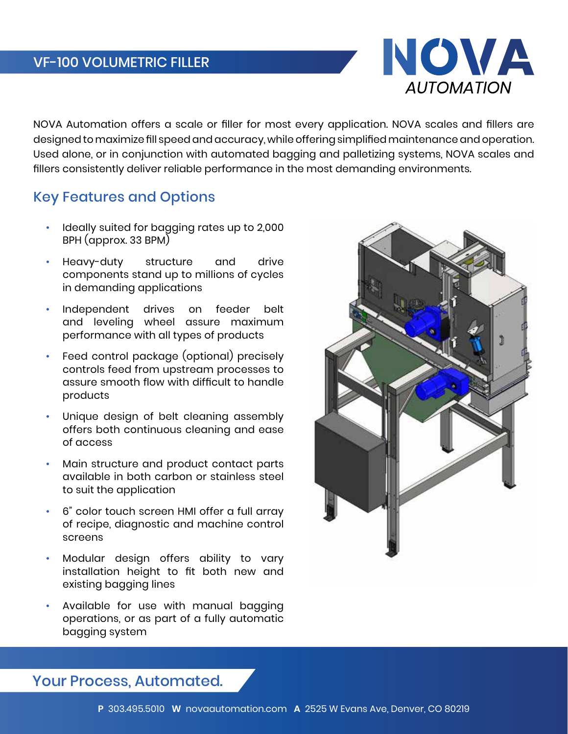

NOVA Automation offers a scale or filler for most every application. NOVA scales and fillers are designed to maximize fill speed and accuracy, while offering simplified maintenance and operation. Used alone, or in conjunction with automated bagging and palletizing systems, NOVA scales and fillers consistently deliver reliable performance in the most demanding environments.

## Key Features and Options

- Ideally suited for bagging rates up to 2,000 BPH (approx. 33 BPM)
- Heavy-duty structure and drive components stand up to millions of cycles in demanding applications
- Independent drives on feeder belt and leveling wheel assure maximum performance with all types of products
- Feed control package (optional) precisely controls feed from upstream processes to assure smooth flow with difficult to handle products
- Unique design of belt cleaning assembly offers both continuous cleaning and ease of access
- Main structure and product contact parts available in both carbon or stainless steel to suit the application
- 6" color touch screen HMI offer a full array of recipe, diagnostic and machine control screens
- Modular design offers ability to vary installation height to fit both new and existing bagging lines
- Available for use with manual bagging operations, or as part of a fully automatic bagging system



Your Process, Automated.